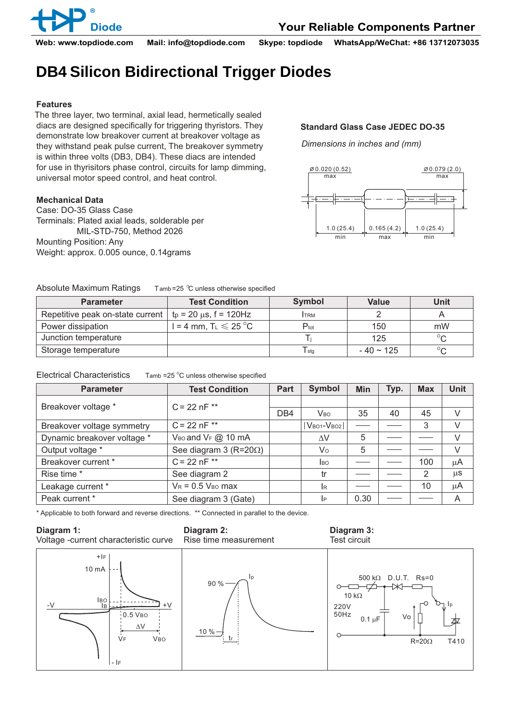

**Diode Your Reliable Components Partner**

**Web: www.topdiode.com Mail: info@topdiode.com Skype: topdiode WhatsApp/WeChat: +86 13712073035**

# **DB4 Silicon Bidirectional Trigger Diodes**

### **Features**

The three layer, two terminal, axial lead, hermetically sealed diacs are designed specifically for triggering thyristors. They demonstrate low breakover current at breakover voltage as they withstand peak pulse current, The breakover symmetry is within three volts (DB3, DB4). These diacs are intended for use in thyrisitors phase control, circuits for lamp dimming, universal motor speed control, and heat control.

### **Mechanical Data**

Case: DO-35 Glass Case Terminals: Plated axial leads, solderable per MIL-STD-750, Method 2026 Mounting Position: Any Weight: approx. 0.005 ounce, 0.14grams

## **Standard Glass Case JEDEC DO-35**

*Dimensions in inches and (mm)*



| Absolute Maximum Ratings | Tamb=25 $\degree$ C unless otherwise specified |
|--------------------------|------------------------------------------------|
|--------------------------|------------------------------------------------|

| <b>Parameter</b>                 | <b>Test Condition</b>                        | Symbol           | <b>Value</b>   | Unit    |  |
|----------------------------------|----------------------------------------------|------------------|----------------|---------|--|
| Repetitive peak on-state current | $tp = 20 \mu s$ , f = 120Hz                  | <b>ITRM</b>      |                |         |  |
| Power dissipation                | $l = 4$ mm, T <sub>L</sub> $\leqslant$ 25 °C | $P_{\text{tot}}$ | 150            | mW      |  |
| Junction temperature             |                                              |                  | 125            | $\circ$ |  |
| Storage temperature              |                                              | $T_{\text{stg}}$ | $-40 \sim 125$ |         |  |

### Electrical Characteristics  $\qquad$  Tamb =25 °C unless otherwise specified

| <b>Parameter</b>            | <b>Test Condition</b>               | Part            | <b>Symbol</b>         | <b>Min</b> | Typ. | <b>Max</b> | <b>Unit</b> |
|-----------------------------|-------------------------------------|-----------------|-----------------------|------------|------|------------|-------------|
| Breakover voltage *         | $C = 22 nF$ **                      |                 |                       |            |      |            |             |
|                             |                                     | D <sub>B4</sub> | <b>V<sub>BO</sub></b> | 35         | 40   | 45         |             |
| Breakover voltage symmetry  | $C = 22 nF$ **                      |                 | $ V_{BO1}-V_{BO2} $   |            |      | 3          |             |
| Dynamic breakover voltage * | V <sub>BO</sub> and $V_F$ $@$ 10 mA |                 | ΔV                    | 5          |      |            |             |
| Output voltage *            | See diagram 3 ( $R = 20\Omega$ )    |                 | Vo                    | 5          |      |            | V           |
| Breakover current *         | $C = 22 nF$ **                      |                 | <b>I</b> BO           |            |      | 100        | μA          |
| Rise time *                 | See diagram 2                       |                 | tr                    |            |      | 2          | $\mu$ S     |
| Leakage current *           | $V_R$ = 0.5 $V_{BO}$ max            |                 | <b>I</b> R            |            |      | 10         | μA          |
| Peak current *              | See diagram 3 (Gate)                |                 | IP                    | 0.30       |      |            | A           |

\* Applicable to both forward and reverse directions. \*\* Connected in parallel to the device.

#### **Diagram 1:**

**Diagram 2:** Rise time measurement

#### **Diagram 3:** Test circuit